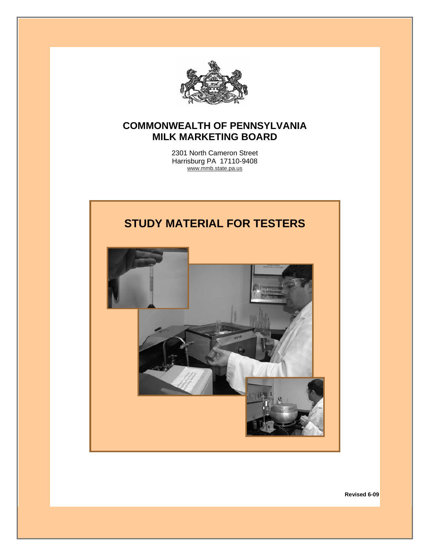

# **COMMONWEALTH OF PENNSYLVANIA MILK MARKETING BOARD**

2301 North Cameron Street Harrisburg PA 17110-9408 www.mmb.state.pa.us



**Revised 6-09**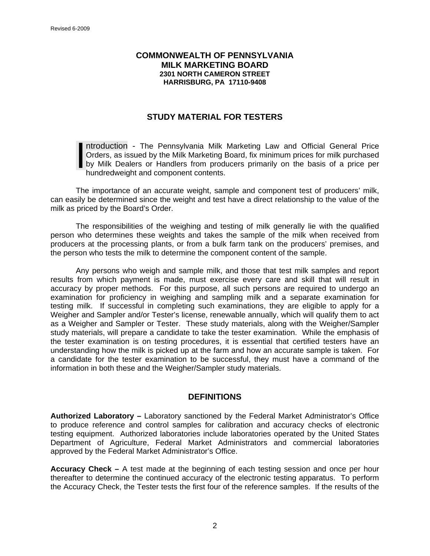#### **COMMONWEALTH OF PENNSYLVANIA MILK MARKETING BOARD 2301 NORTH CAMERON STREET HARRISBURG, PA 17110-9408**

## **STUDY MATERIAL FOR TESTERS**

ntroduction - The Pennsylvania Milk Marketing Law and Official General Price Orders, as issued by the Milk Marketing Board, fix minimum prices for milk purchased by Milk Dealers or Handlers from producers primarily on the basis of a price per hundredweight and component contents. Intr<br>Ord<br>by<br>hun

The importance of an accurate weight, sample and component test of producers' milk, can easily be determined since the weight and test have a direct relationship to the value of the milk as priced by the Board's Order.

The responsibilities of the weighing and testing of milk generally lie with the qualified person who determines these weights and takes the sample of the milk when received from producers at the processing plants, or from a bulk farm tank on the producers' premises, and the person who tests the milk to determine the component content of the sample.

Any persons who weigh and sample milk, and those that test milk samples and report results from which payment is made, must exercise every care and skill that will result in accuracy by proper methods. For this purpose, all such persons are required to undergo an examination for proficiency in weighing and sampling milk and a separate examination for testing milk. If successful in completing such examinations, they are eligible to apply for a Weigher and Sampler and/or Tester's license, renewable annually, which will qualify them to act as a Weigher and Sampler or Tester. These study materials, along with the Weigher/Sampler study materials, will prepare a candidate to take the tester examination. While the emphasis of the tester examination is on testing procedures, it is essential that certified testers have an understanding how the milk is picked up at the farm and how an accurate sample is taken. For a candidate for the tester examination to be successful, they must have a command of the information in both these and the Weigher/Sampler study materials.

### **DEFINITIONS**

**Authorized Laboratory –** Laboratory sanctioned by the Federal Market Administrator's Office to produce reference and control samples for calibration and accuracy checks of electronic testing equipment. Authorized laboratories include laboratories operated by the United States Department of Agriculture, Federal Market Administrators and commercial laboratories approved by the Federal Market Administrator's Office.

**Accuracy Check –** A test made at the beginning of each testing session and once per hour thereafter to determine the continued accuracy of the electronic testing apparatus. To perform the Accuracy Check, the Tester tests the first four of the reference samples. If the results of the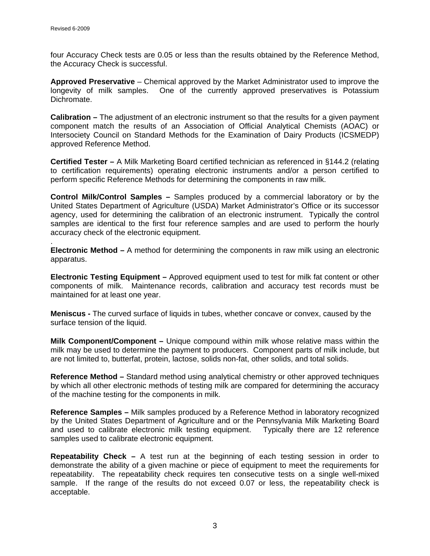.

four Accuracy Check tests are 0.05 or less than the results obtained by the Reference Method, the Accuracy Check is successful.

**Approved Preservative** – Chemical approved by the Market Administrator used to improve the longevity of milk samples. One of the currently approved preservatives is Potassium Dichromate.

**Calibration –** The adjustment of an electronic instrument so that the results for a given payment component match the results of an Association of Official Analytical Chemists (AOAC) or Intersociety Council on Standard Methods for the Examination of Dairy Products (ICSMEDP) approved Reference Method.

**Certified Tester –** A Milk Marketing Board certified technician as referenced in §144.2 (relating to certification requirements) operating electronic instruments and/or a person certified to perform specific Reference Methods for determining the components in raw milk.

**Control Milk/Control Samples –** Samples produced by a commercial laboratory or by the United States Department of Agriculture (USDA) Market Administrator's Office or its successor agency, used for determining the calibration of an electronic instrument. Typically the control samples are identical to the first four reference samples and are used to perform the hourly accuracy check of the electronic equipment.

**Electronic Method –** A method for determining the components in raw milk using an electronic apparatus.

**Electronic Testing Equipment –** Approved equipment used to test for milk fat content or other components of milk. Maintenance records, calibration and accuracy test records must be maintained for at least one year.

**Meniscus -** The curved surface of liquids in tubes, whether concave or convex, caused by the surface tension of the liquid.

**Milk Component/Component –** Unique compound within milk whose relative mass within the milk may be used to determine the payment to producers. Component parts of milk include, but are not limited to, butterfat, protein, lactose, solids non-fat, other solids, and total solids.

**Reference Method –** Standard method using analytical chemistry or other approved techniques by which all other electronic methods of testing milk are compared for determining the accuracy of the machine testing for the components in milk.

**Reference Samples –** Milk samples produced by a Reference Method in laboratory recognized by the United States Department of Agriculture and or the Pennsylvania Milk Marketing Board and used to calibrate electronic milk testing equipment. Typically there are 12 reference samples used to calibrate electronic equipment.

**Repeatability Check –** A test run at the beginning of each testing session in order to demonstrate the ability of a given machine or piece of equipment to meet the requirements for repeatability. The repeatability check requires ten consecutive tests on a single well-mixed sample. If the range of the results do not exceed 0.07 or less, the repeatability check is acceptable.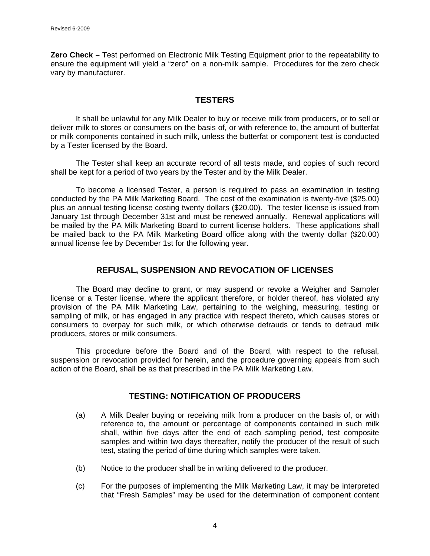**Zero Check –** Test performed on Electronic Milk Testing Equipment prior to the repeatability to ensure the equipment will yield a "zero" on a non-milk sample. Procedures for the zero check vary by manufacturer.

# **TESTERS**

It shall be unlawful for any Milk Dealer to buy or receive milk from producers, or to sell or deliver milk to stores or consumers on the basis of, or with reference to, the amount of butterfat or milk components contained in such milk, unless the butterfat or component test is conducted by a Tester licensed by the Board.

The Tester shall keep an accurate record of all tests made, and copies of such record shall be kept for a period of two years by the Tester and by the Milk Dealer.

To become a licensed Tester, a person is required to pass an examination in testing conducted by the PA Milk Marketing Board. The cost of the examination is twenty-five (\$25.00) plus an annual testing license costing twenty dollars (\$20.00). The tester license is issued from January 1st through December 31st and must be renewed annually. Renewal applications will be mailed by the PA Milk Marketing Board to current license holders. These applications shall be mailed back to the PA Milk Marketing Board office along with the twenty dollar (\$20.00) annual license fee by December 1st for the following year.

## **REFUSAL, SUSPENSION AND REVOCATION OF LICENSES**

The Board may decline to grant, or may suspend or revoke a Weigher and Sampler license or a Tester license, where the applicant therefore, or holder thereof, has violated any provision of the PA Milk Marketing Law, pertaining to the weighing, measuring, testing or sampling of milk, or has engaged in any practice with respect thereto, which causes stores or consumers to overpay for such milk, or which otherwise defrauds or tends to defraud milk producers, stores or milk consumers.

This procedure before the Board and of the Board, with respect to the refusal, suspension or revocation provided for herein, and the procedure governing appeals from such action of the Board, shall be as that prescribed in the PA Milk Marketing Law.

### **TESTING: NOTIFICATION OF PRODUCERS**

- (a) A Milk Dealer buying or receiving milk from a producer on the basis of, or with reference to, the amount or percentage of components contained in such milk shall, within five days after the end of each sampling period, test composite samples and within two days thereafter, notify the producer of the result of such test, stating the period of time during which samples were taken.
- (b) Notice to the producer shall be in writing delivered to the producer.
- (c) For the purposes of implementing the Milk Marketing Law, it may be interpreted that "Fresh Samples" may be used for the determination of component content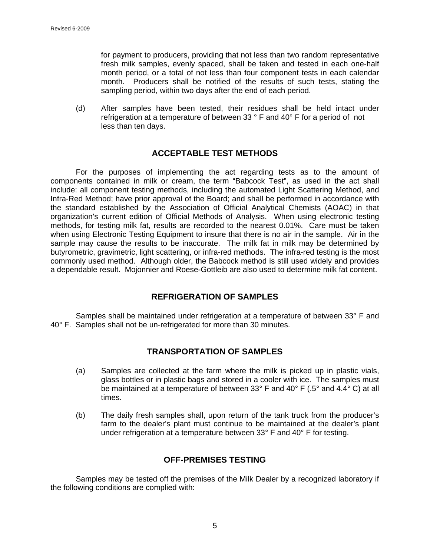for payment to producers, providing that not less than two random representative fresh milk samples, evenly spaced, shall be taken and tested in each one-half month period, or a total of not less than four component tests in each calendar month. Producers shall be notified of the results of such tests, stating the sampling period, within two days after the end of each period.

(d) After samples have been tested, their residues shall be held intact under refrigeration at a temperature of between 33 ° F and 40° F for a period of not less than ten days.

### **ACCEPTABLE TEST METHODS**

For the purposes of implementing the act regarding tests as to the amount of components contained in milk or cream, the term "Babcock Test", as used in the act shall include: all component testing methods, including the automated Light Scattering Method, and Infra-Red Method; have prior approval of the Board; and shall be performed in accordance with the standard established by the Association of Official Analytical Chemists (AOAC) in that organization's current edition of Official Methods of Analysis. When using electronic testing methods, for testing milk fat, results are recorded to the nearest 0.01%. Care must be taken when using Electronic Testing Equipment to insure that there is no air in the sample. Air in the sample may cause the results to be inaccurate. The milk fat in milk may be determined by butyrometric, gravimetric, light scattering, or infra-red methods. The infra-red testing is the most commonly used method. Although older, the Babcock method is still used widely and provides a dependable result. Mojonnier and Roese-Gottleib are also used to determine milk fat content.

# **REFRIGERATION OF SAMPLES**

Samples shall be maintained under refrigeration at a temperature of between 33° F and 40° F. Samples shall not be un-refrigerated for more than 30 minutes.

# **TRANSPORTATION OF SAMPLES**

- (a) Samples are collected at the farm where the milk is picked up in plastic vials, glass bottles or in plastic bags and stored in a cooler with ice. The samples must be maintained at a temperature of between 33° F and 40° F (.5° and 4.4° C) at all times.
- (b) The daily fresh samples shall, upon return of the tank truck from the producer's farm to the dealer's plant must continue to be maintained at the dealer's plant under refrigeration at a temperature between 33° F and 40° F for testing.

## **OFF-PREMISES TESTING**

Samples may be tested off the premises of the Milk Dealer by a recognized laboratory if the following conditions are complied with: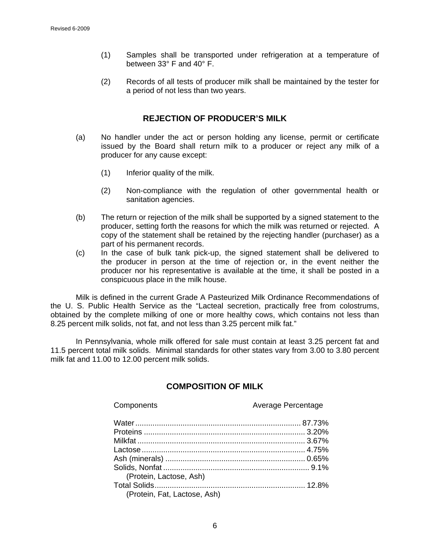- (1) Samples shall be transported under refrigeration at a temperature of between 33° F and 40° F.
- (2) Records of all tests of producer milk shall be maintained by the tester for a period of not less than two years.

#### **REJECTION OF PRODUCER'S MILK**

- (a) No handler under the act or person holding any license, permit or certificate issued by the Board shall return milk to a producer or reject any milk of a producer for any cause except:
	- (1) Inferior quality of the milk.
	- (2) Non-compliance with the regulation of other governmental health or sanitation agencies.
- (b) The return or rejection of the milk shall be supported by a signed statement to the producer, setting forth the reasons for which the milk was returned or rejected. A copy of the statement shall be retained by the rejecting handler (purchaser) as a part of his permanent records.
- (c) In the case of bulk tank pick-up, the signed statement shall be delivered to the producer in person at the time of rejection or, in the event neither the producer nor his representative is available at the time, it shall be posted in a conspicuous place in the milk house.

Milk is defined in the current Grade A Pasteurized Milk Ordinance Recommendations of the U. S. Public Health Service as the "Lacteal secretion, practically free from colostrums, obtained by the complete milking of one or more healthy cows, which contains not less than 8.25 percent milk solids, not fat, and not less than 3.25 percent milk fat."

 In Pennsylvania, whole milk offered for sale must contain at least 3.25 percent fat and 11.5 percent total milk solids. Minimal standards for other states vary from 3.00 to 3.80 percent milk fat and 11.00 to 12.00 percent milk solids.

# **COMPOSITION OF MILK**

| Components                   | Average Percentage |  |
|------------------------------|--------------------|--|
|                              |                    |  |
|                              |                    |  |
|                              |                    |  |
|                              |                    |  |
|                              |                    |  |
|                              |                    |  |
| (Protein, Lactose, Ash)      |                    |  |
|                              |                    |  |
| (Protein, Fat, Lactose, Ash) |                    |  |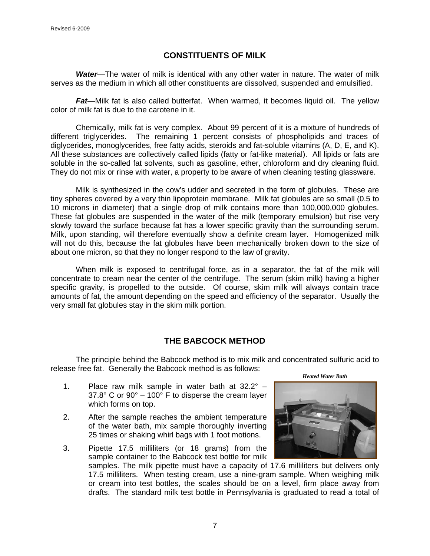## **CONSTITUENTS OF MILK**

*Water*—The water of milk is identical with any other water in nature. The water of milk serves as the medium in which all other constituents are dissolved, suspended and emulsified.

*Fat*—Milk fat is also called butterfat. When warmed, it becomes liquid oil. The yellow color of milk fat is due to the carotene in it.

Chemically, milk fat is very complex. About 99 percent of it is a mixture of hundreds of different triglycerides. The remaining 1 percent consists of phospholipids and traces of diglycerides, monoglycerides, free fatty acids, steroids and fat-soluble vitamins (A, D, E, and K). All these substances are collectively called lipids (fatty or fat-like material). All lipids or fats are soluble in the so-called fat solvents, such as gasoline, ether, chloroform and dry cleaning fluid. They do not mix or rinse with water, a property to be aware of when cleaning testing glassware.

Milk is synthesized in the cow's udder and secreted in the form of globules. These are tiny spheres covered by a very thin lipoprotein membrane. Milk fat globules are so small (0.5 to 10 microns in diameter) that a single drop of milk contains more than 100,000,000 globules. These fat globules are suspended in the water of the milk (temporary emulsion) but rise very slowly toward the surface because fat has a lower specific gravity than the surrounding serum. Milk, upon standing, will therefore eventually show a definite cream layer. Homogenized milk will not do this, because the fat globules have been mechanically broken down to the size of about one micron, so that they no longer respond to the law of gravity.

When milk is exposed to centrifugal force, as in a separator, the fat of the milk will concentrate to cream near the center of the centrifuge. The serum (skim milk) having a higher specific gravity, is propelled to the outside. Of course, skim milk will always contain trace amounts of fat, the amount depending on the speed and efficiency of the separator. Usually the very small fat globules stay in the skim milk portion.

# **THE BABCOCK METHOD**

The principle behind the Babcock method is to mix milk and concentrated sulfuric acid to release free fat. Generally the Babcock method is as follows:

- 1. Place raw milk sample in water bath at  $32.2^\circ$   $37.8^{\circ}$  C or  $90^{\circ}$  – 100° F to disperse the cream layer which forms on top.
- 2. After the sample reaches the ambient temperature of the water bath, mix sample thoroughly inverting 25 times or shaking whirl bags with 1 foot motions.
- 3. Pipette 17.5 milliliters (or 18 grams) from the sample container to the Babcock test bottle for milk

*Heated Water Bath* 

samples. The milk pipette must have a capacity of 17.6 milliliters but delivers only 17.5 milliliters. When testing cream, use a nine-gram sample. When weighing milk or cream into test bottles, the scales should be on a level, firm place away from drafts. The standard milk test bottle in Pennsylvania is graduated to read a total of

7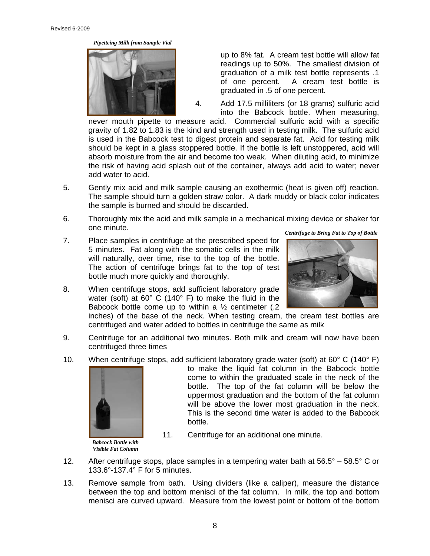*Pipetteing Milk from Sample Vial* 



up to 8% fat. A cream test bottle will allow fat readings up to 50%. The smallest division of graduation of a milk test bottle represents .1 of one percent. A cream test bottle is graduated in .5 of one percent.

4. Add 17.5 milliliters (or 18 grams) sulfuric acid into the Babcock bottle. When measuring,

never mouth pipette to measure acid. Commercial sulfuric acid with a specific gravity of 1.82 to 1.83 is the kind and strength used in testing milk. The sulfuric acid is used in the Babcock test to digest protein and separate fat. Acid for testing milk should be kept in a glass stoppered bottle. If the bottle is left unstoppered, acid will absorb moisture from the air and become too weak. When diluting acid, to minimize the risk of having acid splash out of the container, always add acid to water; never add water to acid.

- 5. Gently mix acid and milk sample causing an exothermic (heat is given off) reaction. The sample should turn a golden straw color. A dark muddy or black color indicates the sample is burned and should be discarded.
- 6. Thoroughly mix the acid and milk sample in a mechanical mixing device or shaker for one minute.
- 7. Place samples in centrifuge at the prescribed speed for 5 minutes. Fat along with the somatic cells in the milk will naturally, over time, rise to the top of the bottle. The action of centrifuge brings fat to the top of test bottle much more quickly and thoroughly.
- 8. When centrifuge stops, add sufficient laboratory grade water (soft) at 60° C (140° F) to make the fluid in the Babcock bottle come up to within a  $\frac{1}{2}$  centimeter (.2)

 *Centrifuge to Bring Fat to Top of Bottle* 



inches) of the base of the neck. When testing cream, the cream test bottles are centrifuged and water added to bottles in centrifuge the same as milk

- 9. Centrifuge for an additional two minutes. Both milk and cream will now have been centrifuged three times
- 10. When centrifuge stops, add sufficient laboratory grade water (soft) at  $60^{\circ}$  C (140 $^{\circ}$  F)



*Babcock Bottle with Visible Fat Column*  to make the liquid fat column in the Babcock bottle come to within the graduated scale in the neck of the bottle. The top of the fat column will be below the uppermost graduation and the bottom of the fat column will be above the lower most graduation in the neck. This is the second time water is added to the Babcock bottle.

- 11. Centrifuge for an additional one minute.
- 12. After centrifuge stops, place samples in a tempering water bath at  $56.5^{\circ} 58.5^{\circ}$  C or 133.6°-137.4° F for 5 minutes.
- 13. Remove sample from bath. Using dividers (like a caliper), measure the distance between the top and bottom menisci of the fat column. In milk, the top and bottom menisci are curved upward. Measure from the lowest point or bottom of the bottom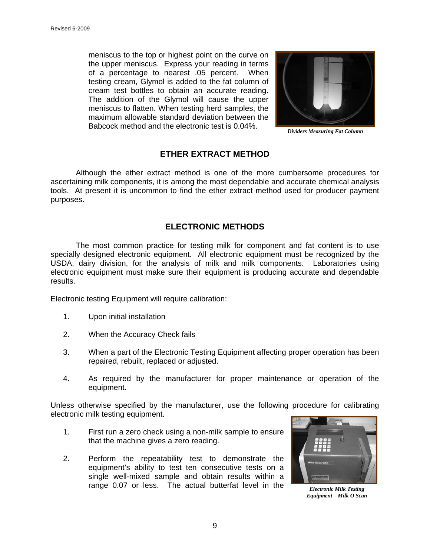meniscus to the top or highest point on the curve on the upper meniscus. Express your reading in terms of a percentage to nearest .05 percent. When testing cream, Glymol is added to the fat column of cream test bottles to obtain an accurate reading. The addition of the Glymol will cause the upper meniscus to flatten. When testing herd samples, the maximum allowable standard deviation between the Babcock method and the electronic test is 0.04%.



*Dividers Measuring Fat Column* 

## **ETHER EXTRACT METHOD**

Although the ether extract method is one of the more cumbersome procedures for ascertaining milk components, it is among the most dependable and accurate chemical analysis tools. At present it is uncommon to find the ether extract method used for producer payment purposes.

### **ELECTRONIC METHODS**

The most common practice for testing milk for component and fat content is to use specially designed electronic equipment. All electronic equipment must be recognized by the USDA, dairy division, for the analysis of milk and milk components. Laboratories using electronic equipment must make sure their equipment is producing accurate and dependable results.

Electronic testing Equipment will require calibration:

- 1. Upon initial installation
- 2. When the Accuracy Check fails
- 3. When a part of the Electronic Testing Equipment affecting proper operation has been repaired, rebuilt, replaced or adjusted.
- 4. As required by the manufacturer for proper maintenance or operation of the equipment.

Unless otherwise specified by the manufacturer, use the following procedure for calibrating electronic milk testing equipment.

- 1. First run a zero check using a non-milk sample to ensure that the machine gives a zero reading.
- 2. Perform the repeatability test to demonstrate the equipment's ability to test ten consecutive tests on a single well-mixed sample and obtain results within a range 0.07 or less. The actual butterfat level in the



*Electronic Milk Testing Equipment – Milk O Scan*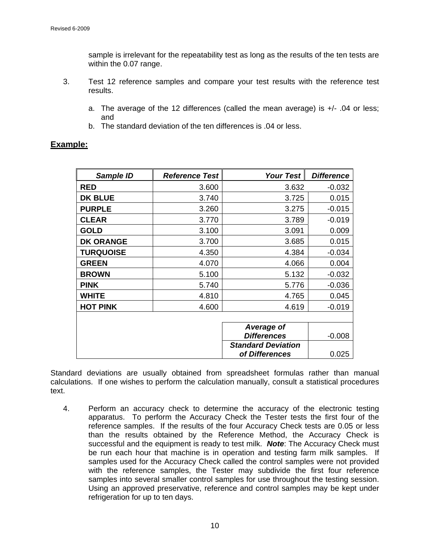sample is irrelevant for the repeatability test as long as the results of the ten tests are within the 0.07 range.

- 3. Test 12 reference samples and compare your test results with the reference test results.
	- a. The average of the 12 differences (called the mean average) is +/- .04 or less; and
	- b. The standard deviation of the ten differences is .04 or less.

| Sample ID        | <b>Reference Test</b> | Your Test                 | <b>Difference</b> |
|------------------|-----------------------|---------------------------|-------------------|
| <b>RED</b>       | 3.600                 | 3.632                     | $-0.032$          |
| <b>DK BLUE</b>   | 3.740                 | 3.725                     | 0.015             |
| <b>PURPLE</b>    | 3.260                 | 3.275                     | $-0.015$          |
| <b>CLEAR</b>     | 3.770                 | 3.789                     | $-0.019$          |
| <b>GOLD</b>      | 3.100                 | 3.091                     | 0.009             |
| <b>DK ORANGE</b> | 3.700                 | 3.685                     | 0.015             |
| <b>TURQUOISE</b> | 4.350                 | 4.384                     | $-0.034$          |
| <b>GREEN</b>     | 4.070                 | 4.066                     | 0.004             |
| <b>BROWN</b>     | 5.100                 | 5.132                     | $-0.032$          |
| <b>PINK</b>      | 5.740                 | 5.776                     | $-0.036$          |
| <b>WHITE</b>     | 4.810                 | 4.765                     | 0.045             |
| <b>HOT PINK</b>  | 4.600                 | 4.619                     | $-0.019$          |
|                  |                       |                           |                   |
|                  |                       | Average of                |                   |
|                  |                       | <b>Differences</b>        | $-0.008$          |
|                  |                       | <b>Standard Deviation</b> |                   |
|                  |                       | of Differences            | 0.025             |

## **Example:**

Standard deviations are usually obtained from spreadsheet formulas rather than manual calculations. If one wishes to perform the calculation manually, consult a statistical procedures text.

4. Perform an accuracy check to determine the accuracy of the electronic testing apparatus. To perform the Accuracy Check the Tester tests the first four of the reference samples. If the results of the four Accuracy Check tests are 0.05 or less than the results obtained by the Reference Method, the Accuracy Check is successful and the equipment is ready to test milk. *Note*: The Accuracy Check must be run each hour that machine is in operation and testing farm milk samples. If samples used for the Accuracy Check called the control samples were not provided with the reference samples, the Tester may subdivide the first four reference samples into several smaller control samples for use throughout the testing session. Using an approved preservative, reference and control samples may be kept under refrigeration for up to ten days.